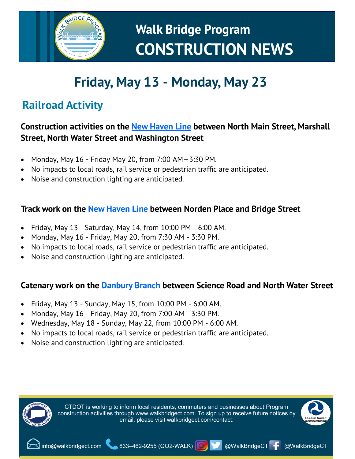

## **Friday, May 13 - Monday, May 23**

### **Railroad Activity**

#### **Construction activities on the [New Haven Line](https://www.walkbridgect.com/about_program/construction_activities.aspx#id=130) between North Main Street, Marshall Street, North Water Street and Washington Street**

- Monday, May 16 Friday May 20, from 7:00 AM—3:30 PM.
- No impacts to local roads, rail service or pedestrian traffic are anticipated.
- Noise and construction lighting are anticipated.

### **Track work on the [New Haven Line](https://www.walkbridgect.com/about_program/construction_activities.aspx#id=123) between Norden Place and Bridge Street**

- Friday, May 13 Saturday, May 14, from 10:00 PM 6:00 AM.
- Monday, May 16 Friday, May 20, from 7:30 AM 3:30 PM.
- No impacts to local roads, rail service or pedestrian traffic are anticipated.
- Noise and construction lighting are anticipated.

#### **Catenary work on the [Danbury Branch](https://www.walkbridgect.com/about_program/construction_activities.aspx#id=127) between Science Road and North Water Street**

- Friday, May 13 Sunday, May 15, from 10:00 PM 6:00 AM.
- Monday, May 16 Friday, May 20, from 7:00 AM 3:30 PM.
- Wednesday, May 18 Sunday, May 22, from 10:00 PM 6:00 AM.
- No impacts to local roads, rail service or pedestrian traffic are anticipated.
- Noise and construction lighting are anticipated.